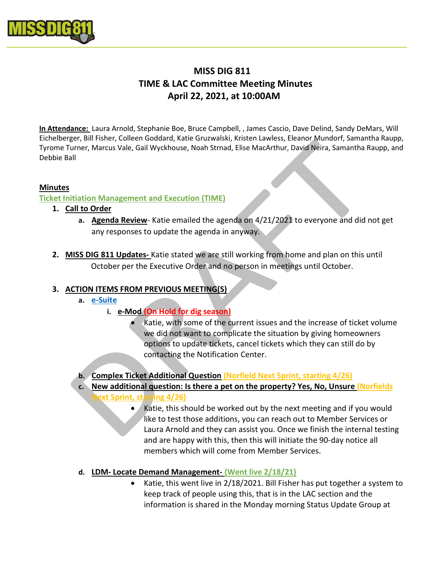

# MISS DIG 811 TIME & LAC Committee Meeting Minutes April 22, 2021, at 10:00AM

In Attendance: Laura Arnold, Stephanie Boe, Bruce Campbell, , James Cascio, Dave Delind, Sandy DeMars, Will Eichelberger, Bill Fisher, Colleen Goddard, Katie Gruzwalski, Kristen Lawless, Eleanor Mundorf, Samantha Raupp, Tyrome Turner, Marcus Vale, Gail Wyckhouse, Noah Strnad, Elise MacArthur, David Neira, Samantha Raupp, and Debbie Ball

### **Minutes**

#### Ticket Initiation Management and Execution (TIME)

- 1. Call to Order
	- a. Agenda Review- Katie emailed the agenda on 4/21/2021 to everyone and did not get any responses to update the agenda in anyway.
- 2. MISS DIG 811 Updates- Katie stated we are still working from home and plan on this until October per the Executive Order and no person in meetings until October.

#### 3. ACTION ITEMS FROM PREVIOUS MEETING(S)

- a. e-Suite
	- i. e-Mod (On Hold for dig season)
		- Katie, with some of the current issues and the increase of ticket volume we did not want to complicate the situation by giving homeowners options to update tickets, cancel tickets which they can still do by contacting the Notification Center.

#### b. Complex Ticket Additional Question (Norfield Next Sprint, starting 4/26)

- c. New additional question: Is there a pet on the property? Yes, No, Unsure (Norfields ext Sprint, starting 4/26)
	- Katie, this should be worked out by the next meeting and if you would like to test those additions, you can reach out to Member Services or Laura Arnold and they can assist you. Once we finish the internal testing and are happy with this, then this will initiate the 90-day notice all members which will come from Member Services.
- d. LDM- Locate Demand Management- (Went live 2/18/21)
	- Katie, this went live in 2/18/2021. Bill Fisher has put together a system to keep track of people using this, that is in the LAC section and the information is shared in the Monday morning Status Update Group at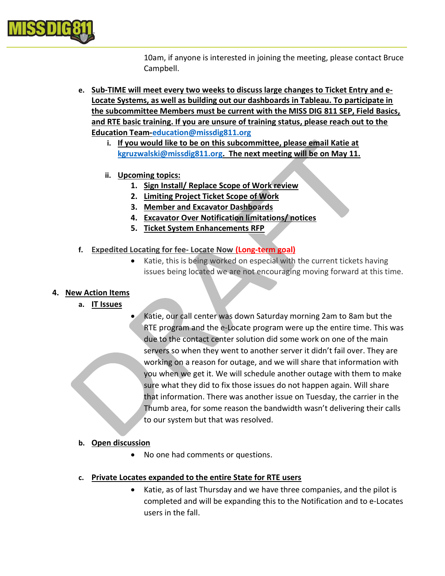

10am, if anyone is interested in joining the meeting, please contact Bruce Campbell.

- e. Sub-TIME will meet every two weeks to discuss large changes to Ticket Entry and e-Locate Systems, as well as building out our dashboards in Tableau. To participate in the subcommittee Members must be current with the MISS DIG 811 SEP, Field Basics, and RTE basic training. If you are unsure of training status, please reach out to the Education Team-education@missdig811.org
	- i. If you would like to be on this subcommittee, please email Katie at kgruzwalski@missdig811.org. The next meeting will be on May 11.
	- ii. Upcoming topics:
		- 1. Sign Install/ Replace Scope of Work review
		- 2. Limiting Project Ticket Scope of Work
		- 3. Member and Excavator Dashboards
		- 4. Excavator Over Notification limitations/ notices
		- 5. Ticket System Enhancements RFP

### f. Expedited Locating for fee- Locate Now (Long-term goal)

• Katie, this is being worked on especial with the current tickets having issues being located we are not encouraging moving forward at this time.

### 4. New Action Items

- a. IT Issues
- Katie, our call center was down Saturday morning 2am to 8am but the RTE program and the e-Locate program were up the entire time. This was due to the contact center solution did some work on one of the main servers so when they went to another server it didn't fail over. They are working on a reason for outage, and we will share that information with you when we get it. We will schedule another outage with them to make sure what they did to fix those issues do not happen again. Will share that information. There was another issue on Tuesday, the carrier in the Thumb area, for some reason the bandwidth wasn't delivering their calls to our system but that was resolved.

### b. Open discussion

- No one had comments or questions.
- c. Private Locates expanded to the entire State for RTE users
	- Katie, as of last Thursday and we have three companies, and the pilot is completed and will be expanding this to the Notification and to e-Locates users in the fall.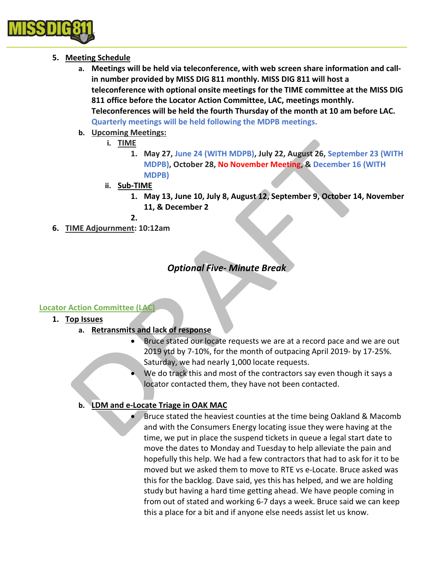

- 5. Meeting Schedule
	- a. Meetings will be held via teleconference, with web screen share information and callin number provided by MISS DIG 811 monthly. MISS DIG 811 will host a teleconference with optional onsite meetings for the TIME committee at the MISS DIG 811 office before the Locator Action Committee, LAC, meetings monthly. Teleconferences will be held the fourth Thursday of the month at 10 am before LAC. Quarterly meetings will be held following the MDPB meetings.
	- b. Upcoming Meetings:
		- i. TIME
			- 1. May 27, June 24 (WITH MDPB), July 22, August 26, September 23 (WITH MDPB), October 28, No November Meeting, & December 16 (WITH MDPB)
		- ii. Sub-TIME
			- 1. May 13, June 10, July 8, August 12, September 9, October 14, November 11, & December 2
			- 2.
- 6. TIME Adjournment: 10:12am

# Optional Five- Minute Break

### Locator Action Committee (LAC)

- 1. Top Issues
	- a. Retransmits and lack of response
		- Bruce stated our locate requests we are at a record pace and we are out 2019 ytd by 7-10%, for the month of outpacing April 2019- by 17-25%. Saturday, we had nearly 1,000 locate requests.
		- We do track this and most of the contractors say even though it says a locator contacted them, they have not been contacted.

## b. LDM and e-Locate Triage in OAK MAC

 Bruce stated the heaviest counties at the time being Oakland & Macomb and with the Consumers Energy locating issue they were having at the time, we put in place the suspend tickets in queue a legal start date to move the dates to Monday and Tuesday to help alleviate the pain and hopefully this help. We had a few contractors that had to ask for it to be moved but we asked them to move to RTE vs e-Locate. Bruce asked was this for the backlog. Dave said, yes this has helped, and we are holding study but having a hard time getting ahead. We have people coming in from out of stated and working 6-7 days a week. Bruce said we can keep this a place for a bit and if anyone else needs assist let us know.